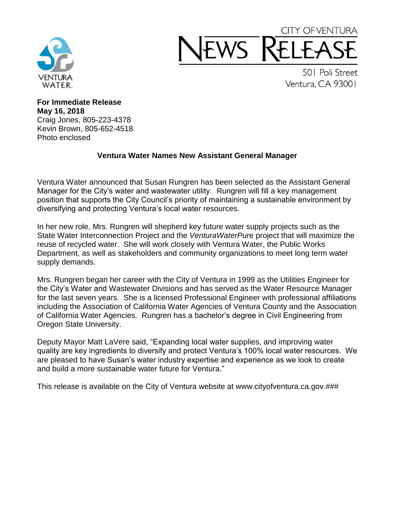

## CITY OF VENTURA **NS**

501 Poli Street Ventura, CA 93001

**For Immediate Release May 16, 2018** Craig Jones, 805-223-4378 Kevin Brown, 805-652-4518 Photo enclosed

## **Ventura Water Names New Assistant General Manager**

Ventura Water announced that Susan Rungren has been selected as the Assistant General Manager for the City's water and wastewater utility. Rungren will fill a key management position that supports the City Council's priority of maintaining a sustainable environment by diversifying and protecting Ventura's local water resources.

In her new role, Mrs. Rungren will shepherd key future water supply projects such as the State Water Interconnection Project and the *VenturaWaterPur*e project that will maximize the reuse of recycled water. She will work closely with Ventura Water, the Public Works Department, as well as stakeholders and community organizations to meet long term water supply demands.

Mrs. Rungren began her career with the City of Ventura in 1999 as the Utilities Engineer for the City's Water and Wastewater Divisions and has served as the Water Resource Manager for the last seven years. She is a licensed Professional Engineer with professional affiliations including the Association of California Water Agencies of Ventura County and the Association of California Water Agencies. Rungren has a bachelor's degree in Civil Engineering from Oregon State University.

Deputy Mayor Matt LaVere said, "Expanding local water supplies, and improving water quality are key ingredients to diversify and protect Ventura's 100% local water resources. We are pleased to have Susan's water industry expertise and experience as we look to create and build a more sustainable water future for Ventura."

This release is available on the City of Ventura website at www.cityofventura.ca.gov.###